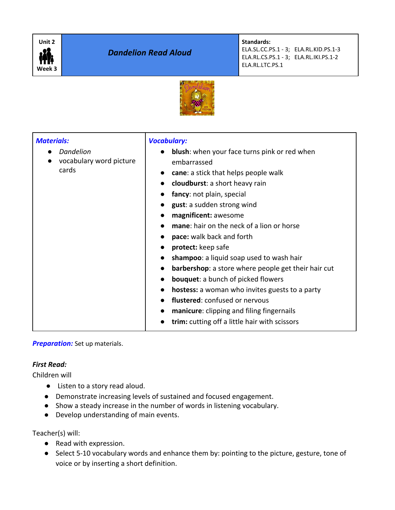

*Dandelion Read Aloud*

**Standards:**

ELA.SL.CC.PS.1 - 3; ELA.RL.KID.PS.1-3 ELA.RL.CS.PS.1 - 3; ELA.RL.IKI.PS.1-2 ELA.RL.LTC.PS.1



| <b>Materials:</b><br><b>Dandelion</b><br>vocabulary word picture<br>cards | <b>Vocabulary:</b><br><b>blush:</b> when your face turns pink or red when<br>embarrassed<br><b>cane:</b> a stick that helps people walk<br>cloudburst: a short heavy rain<br>fancy: not plain, special<br>gust: a sudden strong wind<br>magnificent: awesome<br><b>mane:</b> hair on the neck of a lion or horse<br>pace: walk back and forth<br>protect: keep safe<br>shampoo: a liquid soap used to wash hair<br><b>barbershop:</b> a store where people get their hair cut<br><b>bouquet:</b> a bunch of picked flowers<br><b>hostess:</b> a woman who invites guests to a party |
|---------------------------------------------------------------------------|-------------------------------------------------------------------------------------------------------------------------------------------------------------------------------------------------------------------------------------------------------------------------------------------------------------------------------------------------------------------------------------------------------------------------------------------------------------------------------------------------------------------------------------------------------------------------------------|
|                                                                           | flustered: confused or nervous<br>manicure: clipping and filing fingernails<br>trim: cutting off a little hair with scissors                                                                                                                                                                                                                                                                                                                                                                                                                                                        |

## **Preparation:** Set up materials.

## *First Read:*

Children will

- Listen to a story read aloud.
- Demonstrate increasing levels of sustained and focused engagement.
- Show a steady increase in the number of words in listening vocabulary.
- Develop understanding of main events.

Teacher(s) will:

- Read with expression.
- Select 5-10 vocabulary words and enhance them by: pointing to the picture, gesture, tone of voice or by inserting a short definition.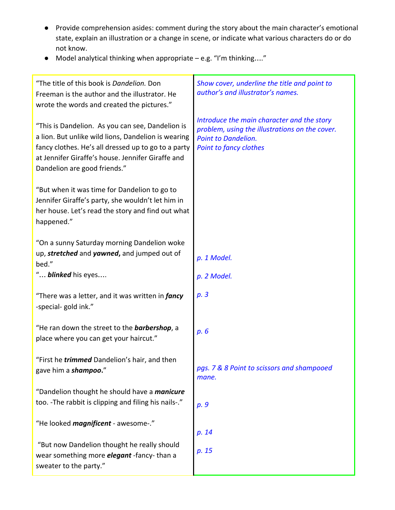- Provide comprehension asides: comment during the story about the main character's emotional state, explain an illustration or a change in scene, or indicate what various characters do or do not know.
- Model analytical thinking when appropriate e.g. "I'm thinking…."

| "The title of this book is Dandelion. Don<br>Freeman is the author and the illustrator. He<br>wrote the words and created the pictures."                                                                                                            | Show cover, underline the title and point to<br>author's and illustrator's names.                                                                           |
|-----------------------------------------------------------------------------------------------------------------------------------------------------------------------------------------------------------------------------------------------------|-------------------------------------------------------------------------------------------------------------------------------------------------------------|
| "This is Dandelion. As you can see, Dandelion is<br>a lion. But unlike wild lions, Dandelion is wearing<br>fancy clothes. He's all dressed up to go to a party<br>at Jennifer Giraffe's house. Jennifer Giraffe and<br>Dandelion are good friends." | Introduce the main character and the story<br>problem, using the illustrations on the cover.<br><b>Point to Dandelion.</b><br><b>Point to fancy clothes</b> |
| "But when it was time for Dandelion to go to<br>Jennifer Giraffe's party, she wouldn't let him in<br>her house. Let's read the story and find out what<br>happened."                                                                                |                                                                                                                                                             |
| "On a sunny Saturday morning Dandelion woke<br>up, stretched and yawned, and jumped out of<br>bed."<br>" blinked his eyes                                                                                                                           | p. 1 Model.<br>p. 2 Model.                                                                                                                                  |
| "There was a letter, and it was written in <i>fancy</i><br>-special-gold ink."                                                                                                                                                                      | p.3                                                                                                                                                         |
| "He ran down the street to the <b>barbershop</b> , a<br>place where you can get your haircut."                                                                                                                                                      | p. 6                                                                                                                                                        |
| "First he <i>trimmed</i> Dandelion's hair, and then<br>gave him a shampoo."                                                                                                                                                                         | pgs. 7 & 8 Point to scissors and shampooed<br>mane.                                                                                                         |
| "Dandelion thought he should have a <i>manicure</i><br>too. - The rabbit is clipping and filing his nails-."                                                                                                                                        | p. 9                                                                                                                                                        |
| "He looked <i>magnificent</i> - awesome-."                                                                                                                                                                                                          | p. 14                                                                                                                                                       |
| "But now Dandelion thought he really should<br>wear something more <b>elegant</b> -fancy-than a<br>sweater to the party."                                                                                                                           | p. 15                                                                                                                                                       |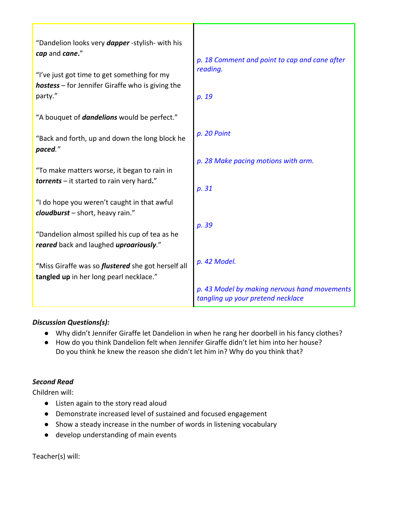| "Dandelion looks very <i>dapper</i> -stylish- with his<br>cap and cane."                               |                                                                                   |
|--------------------------------------------------------------------------------------------------------|-----------------------------------------------------------------------------------|
| "I've just got time to get something for my<br><b>hostess</b> – for Jennifer Giraffe who is giving the | p. 18 Comment and point to cap and cane after<br>reading.                         |
| party."                                                                                                | p. 19                                                                             |
| "A bouquet of <i>dandelions</i> would be perfect."                                                     |                                                                                   |
| "Back and forth, up and down the long block he<br>paced."                                              | p. 20 Point                                                                       |
|                                                                                                        | p. 28 Make pacing motions with arm.                                               |
| "To make matters worse, it began to rain in<br><b>torrents</b> – it started to rain very hard."        |                                                                                   |
|                                                                                                        | p. 31                                                                             |
| "I do hope you weren't caught in that awful<br>cloudburst - short, heavy rain."                        |                                                                                   |
| "Dandelion almost spilled his cup of tea as he                                                         | p. 39                                                                             |
| reared back and laughed uproariously."                                                                 |                                                                                   |
| "Miss Giraffe was so <i>flustered</i> she got herself all<br>tangled up in her long pearl necklace."   | p. 42 Model.                                                                      |
|                                                                                                        | p. 43 Model by making nervous hand movements<br>tangling up your pretend necklace |

# *Discussion Questions(s):*

- Why didn't Jennifer Giraffe let Dandelion in when he rang her doorbell in his fancy clothes?
- How do you think Dandelion felt when Jennifer Giraffe didn't let him into her house? Do you think he knew the reason she didn't let him in? Why do you think that?

# *Second Read*

Children will:

- Listen again to the story read aloud
- Demonstrate increased level of sustained and focused engagement
- Show a steady increase in the number of words in listening vocabulary
- develop understanding of main events

Teacher(s) will: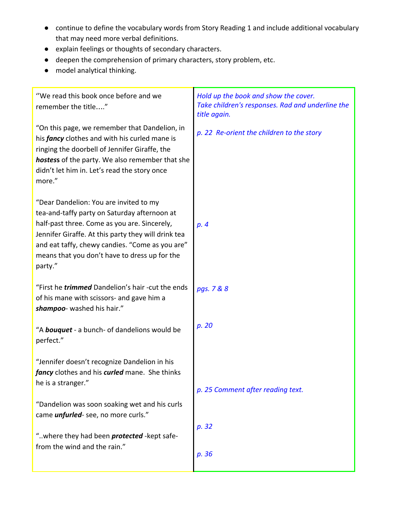- continue to define the vocabulary words from Story Reading 1 and include additional vocabulary that may need more verbal definitions.
- explain feelings or thoughts of secondary characters.
- deepen the comprehension of primary characters, story problem, etc.
- model analytical thinking.

| "We read this book once before and we<br>remember the title"                                                                                                                                                                                                                                                 | Hold up the book and show the cover.<br>Take children's responses. Rad and underline the<br>title again. |
|--------------------------------------------------------------------------------------------------------------------------------------------------------------------------------------------------------------------------------------------------------------------------------------------------------------|----------------------------------------------------------------------------------------------------------|
| "On this page, we remember that Dandelion, in<br>his fancy clothes and with his curled mane is<br>ringing the doorbell of Jennifer Giraffe, the<br>hostess of the party. We also remember that she<br>didn't let him in. Let's read the story once<br>more."                                                 | p. 22 Re-orient the children to the story                                                                |
| "Dear Dandelion: You are invited to my<br>tea-and-taffy party on Saturday afternoon at<br>half-past three. Come as you are. Sincerely,<br>Jennifer Giraffe. At this party they will drink tea<br>and eat taffy, chewy candies. "Come as you are"<br>means that you don't have to dress up for the<br>party." | p. 4                                                                                                     |
| "First he <i>trimmed</i> Dandelion's hair -cut the ends<br>of his mane with scissors- and gave him a<br>shampoo- washed his hair."                                                                                                                                                                           | pgs. 7 & 8                                                                                               |
| "A <b>bouquet</b> - a bunch- of dandelions would be<br>perfect."                                                                                                                                                                                                                                             | p. 20                                                                                                    |
| "Jennifer doesn't recognize Dandelion in his<br>fancy clothes and his curled mane. She thinks<br>he is a stranger."                                                                                                                                                                                          | p. 25 Comment after reading text.                                                                        |
| "Dandelion was soon soaking wet and his curls<br>came <i>unfurled</i> -see, no more curls."                                                                                                                                                                                                                  |                                                                                                          |
| "where they had been <i>protected</i> - kept safe-<br>from the wind and the rain."                                                                                                                                                                                                                           | p. 32                                                                                                    |
|                                                                                                                                                                                                                                                                                                              | p. 36                                                                                                    |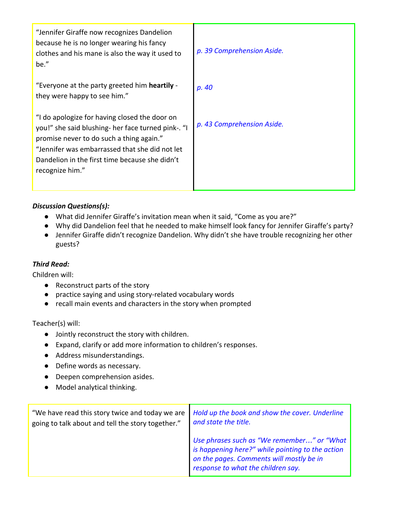| "Jennifer Giraffe now recognizes Dandelion<br>because he is no longer wearing his fancy<br>clothes and his mane is also the way it used to<br>be."                                                                                                                     | p. 39 Comprehension Aside. |
|------------------------------------------------------------------------------------------------------------------------------------------------------------------------------------------------------------------------------------------------------------------------|----------------------------|
| "Everyone at the party greeted him heartily -<br>they were happy to see him."                                                                                                                                                                                          | p. 40                      |
| "I do apologize for having closed the door on<br>you!" she said blushing- her face turned pink-. "I<br>promise never to do such a thing again."<br>"Jennifer was embarrassed that she did not let<br>Dandelion in the first time because she didn't<br>recognize him." | p. 43 Comprehension Aside. |

# *Discussion Questions(s):*

- What did Jennifer Giraffe's invitation mean when it said, "Come as you are?"
- Why did Dandelion feel that he needed to make himself look fancy for Jennifer Giraffe's party?
- Jennifer Giraffe didn't recognize Dandelion. Why didn't she have trouble recognizing her other guests?

## *Third Read:*

Children will:

- Reconstruct parts of the story
- practice saying and using story-related vocabulary words
- recall main events and characters in the story when prompted

Teacher(s) will:

- **●** Jointly reconstruct the story with children.
- **●** Expand, clarify or add more information to children's responses.
- **●** Address misunderstandings.
- **●** Define words as necessary.
- **●** Deepen comprehension asides.
- **●** Model analytical thinking.

| "We have read this story twice and today we are   | Hold up the book and show the cover. Underline                                                                                                                                   |  |
|---------------------------------------------------|----------------------------------------------------------------------------------------------------------------------------------------------------------------------------------|--|
| going to talk about and tell the story together." | and state the title.                                                                                                                                                             |  |
|                                                   | Use phrases such as "We remember" or "What<br>is happening here?" while pointing to the action<br>on the pages. Comments will mostly be in<br>response to what the children say. |  |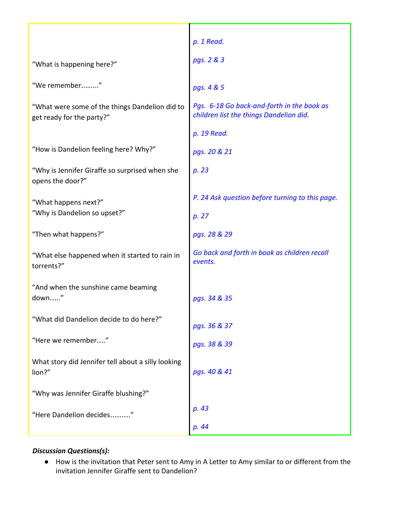|                                                                             | p. 1 Read.                                                                            |
|-----------------------------------------------------------------------------|---------------------------------------------------------------------------------------|
| "What is happening here?"                                                   | pgs. 2 & 3                                                                            |
| "We remember"                                                               | pgs. 4 & 5                                                                            |
| "What were some of the things Dandelion did to<br>get ready for the party?" | Pgs. 6-18 Go back-and-forth in the book as<br>children list the things Dandelion did. |
|                                                                             | p. 19 Read.                                                                           |
| "How is Dandelion feeling here? Why?"                                       | pgs. 20 & 21                                                                          |
| "Why is Jennifer Giraffe so surprised when she<br>opens the door?"          | p. 23                                                                                 |
| "What happens next?"<br>"Why is Dandelion so upset?"                        | P. 24 Ask question before turning to this page.<br>p. 27                              |
| "Then what happens?"                                                        | pgs. 28 & 29                                                                          |
| "What else happened when it started to rain in<br>torrents?"                | Go back and forth in book as children recall<br>events.                               |
| "And when the sunshine came beaming<br>down"                                | pgs. 34 & 35                                                                          |
| "What did Dandelion decide to do here?"                                     | pgs. 36 & 37                                                                          |
| "Here we remember"                                                          | pgs. 38 & 39                                                                          |
| What story did Jennifer tell about a silly looking<br>lion?"                | pgs. 40 & 41                                                                          |
| "Why was Jennifer Giraffe blushing?"                                        |                                                                                       |
| "Here Dandelion decides"                                                    | p. 43                                                                                 |
|                                                                             | p. 44                                                                                 |

# *Discussion Questions(s):*

● How is the invitation that Peter sent to Amy in A Letter to Amy similar to or different from the invitation Jennifer Giraffe sent to Dandelion?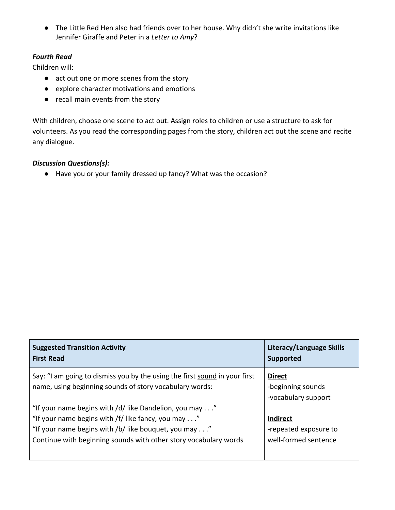● The Little Red Hen also had friends over to her house. Why didn't she write invitations like Jennifer Giraffe and Peter in a *Letter to Amy*?

# *Fourth Read*

Children will:

- act out one or more scenes from the story
- explore character motivations and emotions
- recall main events from the story

With children, choose one scene to act out. Assign roles to children or use a structure to ask for volunteers. As you read the corresponding pages from the story, children act out the scene and recite any dialogue.

## *Discussion Questions(s):*

● Have you or your family dressed up fancy? What was the occasion?

| <b>Suggested Transition Activity</b><br><b>First Read</b>                                                                                                                                                                                | Literacy/Language Skills<br>Supported                            |
|------------------------------------------------------------------------------------------------------------------------------------------------------------------------------------------------------------------------------------------|------------------------------------------------------------------|
| Say: "I am going to dismiss you by the using the first sound in your first<br>name, using beginning sounds of story vocabulary words:                                                                                                    | <b>Direct</b><br>-beginning sounds<br>-vocabulary support        |
| "If your name begins with /d/ like Dandelion, you may"<br>"If your name begins with /f/ like fancy, you may"<br>"If your name begins with /b/ like bouquet, you may"<br>Continue with beginning sounds with other story vocabulary words | <b>Indirect</b><br>-repeated exposure to<br>well-formed sentence |